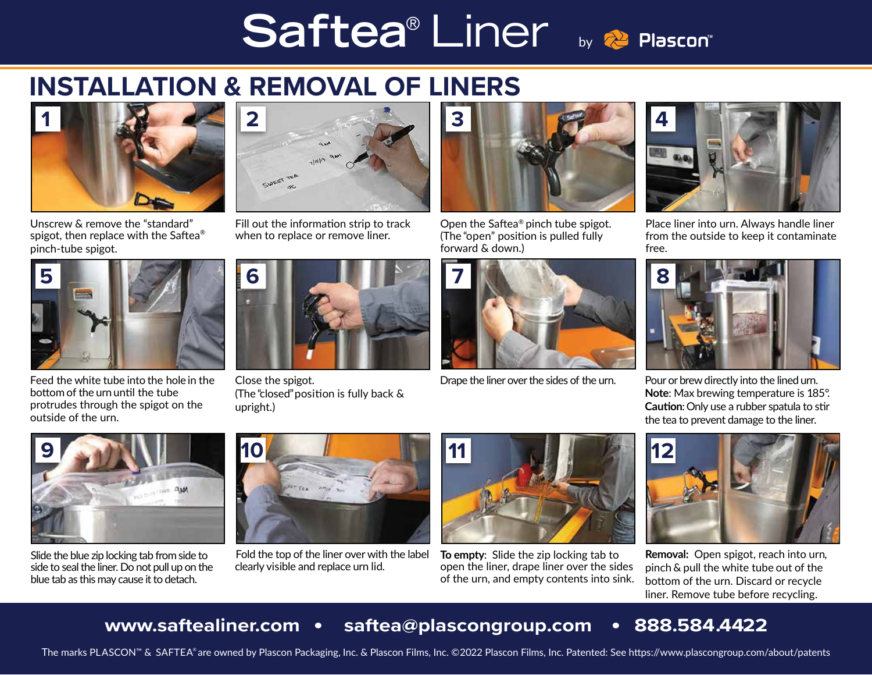# Saftea<sup>®</sup> Liner by **Replascon®**

## **INSTALLATION & REMOVAL OF LINERS**



Unscrew & remove the "standard" spigot, then replace with the Saftea® pinch-tube spigot.



Feed the white tube into the hole in the bottom of the urn until the tube protrudes through the spigot on the outside of the urn.



Fill out the information strip to track when to replace or remove liner.



Close the spigot. (The "closed"position is fully back & upright.)



Open the Saftea® pinch tube spigot. (The "open" position is pulled fully forward & down.)



Drape the liner over the sides of the urn.



Place liner into urn. Always handle liner from the outside to keep it contaminate free.



Pour or brew directly into the lined urn. **Note**: Max brewing temperature is 185°. **Caution**:Only use a rubber spatula to stir the tea to prevent damage to the liner.



Slide the blue zip locking tab from side to side to seal the liner. Do not pull up on the blue tab as this may cause it to detach.



Fold the top of the liner over with the label clearly visible and replace urn lid.



**To empty**: Slide the zip locking tab to open the liner, drape liner over the sides of the urn, and empty contents into sink.



**Removal:** Open spigot, reach into urn, pinch & pull the white tube out of the bottom of the urn. Discard or recycle liner. Remove tube before recycling.

#### **www.saftealiner.com • saftea@plascongroup.com • 888.584.4422**

The marks PLASCON™ & SAFTEA® are owned by Plascon Packaging, Inc. & Plascon Films, Inc. ©2022 Plascon Films, Inc. Patented: See https://www.plascongroup.com/about/patents